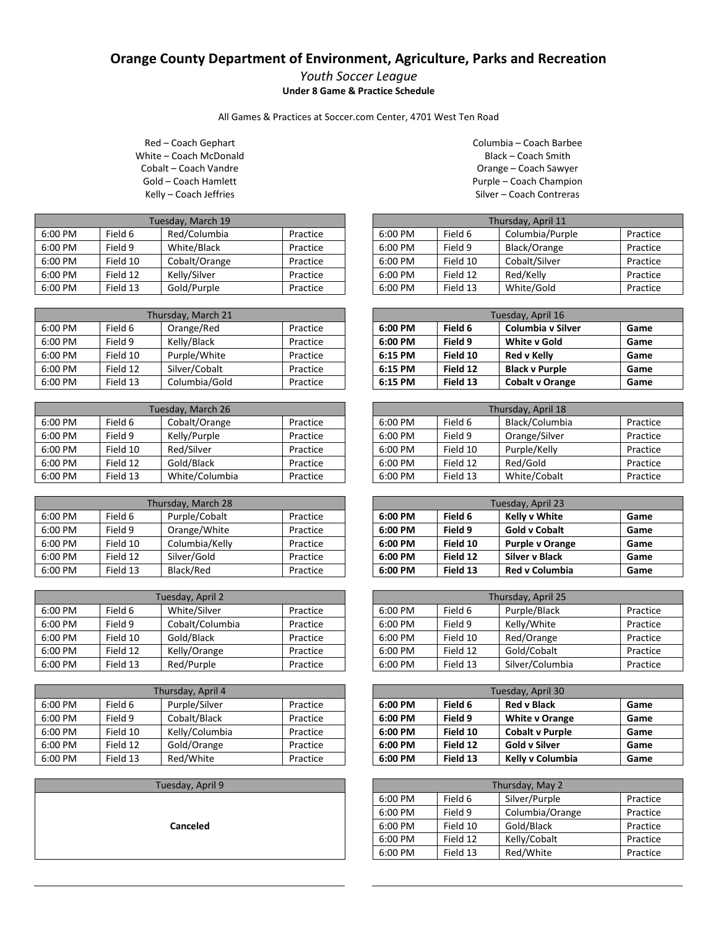## **Orange County Department of Environment, Agriculture, Parks and Recreation**

## *Youth Soccer League* **Under 8 Game & Practice Schedule**

All Games & Practices at Soccer.com Center, 4701 West Ten Road

Red – Coach Gephart White – Coach McDonald Cobalt – Coach Vandre Gold – Coach Hamlett Kelly – Coach Jeffries

| Tuesday, March 19 |          |               |          |
|-------------------|----------|---------------|----------|
| 6:00 PM           | Field 6  | Red/Columbia  | Practice |
| 6:00 PM           | Field 9  | White/Black   | Practice |
| 6:00 PM           | Field 10 | Cobalt/Orange | Practice |
| 6:00 PM           | Field 12 | Kelly/Silver  | Practice |
| 6:00 PM           | Field 13 | Gold/Purple   | Practice |

| Thursday, March 21 |          |               |          |
|--------------------|----------|---------------|----------|
| 6:00 PM            | Field 6  | Orange/Red    | Practice |
| 6:00 PM            | Field 9  | Kelly/Black   | Practice |
| 6:00 PM            | Field 10 | Purple/White  | Practice |
| 6:00 PM            | Field 12 | Silver/Cobalt | Practice |
| 6:00 PM            | Field 13 | Columbia/Gold | Practice |

| Tuesday, March 26 |          |                |          |
|-------------------|----------|----------------|----------|
| 6:00 PM           | Field 6  | Cobalt/Orange  | Practice |
| 6:00 PM           | Field 9  | Kelly/Purple   | Practice |
| 6:00 PM           | Field 10 | Red/Silver     | Practice |
| 6:00 PM           | Field 12 | Gold/Black     | Practice |
| 6:00 PM           | Field 13 | White/Columbia | Practice |

| Thursday, March 28 |          |                |          |
|--------------------|----------|----------------|----------|
| 6:00 PM            | Field 6  | Purple/Cobalt  | Practice |
| 6:00 PM            | Field 9  | Orange/White   | Practice |
| 6:00 PM            | Field 10 | Columbia/Kelly | Practice |
| 6:00 PM            | Field 12 | Silver/Gold    | Practice |
| 6:00 PM            | Field 13 | Black/Red      | Practice |

| Tuesday, April 2 |          |                 |          |
|------------------|----------|-----------------|----------|
| 6:00 PM          | Field 6  | White/Silver    | Practice |
| 6:00 PM          | Field 9  | Cobalt/Columbia | Practice |
| 6:00 PM          | Field 10 | Gold/Black      | Practice |
| 6:00 PM          | Field 12 | Kelly/Orange    | Practice |
| 6:00 PM          | Field 13 | Red/Purple      | Practice |

| Thursday, April 4 |          |                |          |
|-------------------|----------|----------------|----------|
| 6:00 PM           | Field 6  | Purple/Silver  | Practice |
| 6:00 PM           | Field 9  | Cobalt/Black   | Practice |
| 6:00 PM           | Field 10 | Kelly/Columbia | Practice |
| 6:00 PM           | Field 12 | Gold/Orange    | Practice |
| 6:00 PM           | Field 13 | Red/White      | Practice |

Tuesday, April 9

**Canceled**

Columbia – Coach Barbee Black – Coach Smith Orange – Coach Sawyer Purple – Coach Champion Silver – Coach Contreras

| Thursday, April 11 |          |                 |          |  |
|--------------------|----------|-----------------|----------|--|
| 6:00 PM            | Field 6  | Columbia/Purple | Practice |  |
| 6:00 PM            | Field 9  | Black/Orange    | Practice |  |
| 6:00 PM            | Field 10 | Cobalt/Silver   | Practice |  |
| 6:00 PM            | Field 12 | Red/Kelly       | Practice |  |
| 6:00 PM            | Field 13 | White/Gold      | Practice |  |

| Tuesday, April 16 |          |                          |      |  |
|-------------------|----------|--------------------------|------|--|
| 6:00 PM           | Field 6  | <b>Columbia v Silver</b> | Game |  |
| 6:00 PM           | Field 9  | White y Gold             | Game |  |
| 6:15 PM           | Field 10 | Red v Kelly              | Game |  |
| 6:15 PM           | Field 12 | <b>Black v Purple</b>    | Game |  |
| 6:15 PM           | Field 13 | <b>Cobalt v Orange</b>   | Game |  |

| Thursday, April 18 |          |                |          |
|--------------------|----------|----------------|----------|
| 6:00 PM            | Field 6  | Black/Columbia | Practice |
| 6:00 PM            | Field 9  | Orange/Silver  | Practice |
| $6:00$ PM          | Field 10 | Purple/Kelly   | Practice |
| $6:00$ PM          | Field 12 | Red/Gold       | Practice |
| 6:00 PM            | Field 13 | White/Cobalt   | Practice |

| Tuesday, April 23 |          |                        |      |
|-------------------|----------|------------------------|------|
| 6:00 PM           | Field 6  | <b>Kelly v White</b>   | Game |
| 6:00 PM           | Field 9  | <b>Gold v Cobalt</b>   | Game |
| 6:00 PM           | Field 10 | <b>Purple v Orange</b> | Game |
| 6:00 PM           | Field 12 | <b>Silver v Black</b>  | Game |
| 6:00 PM           | Field 13 | <b>Red v Columbia</b>  | Game |

| Thursday, April 25 |          |                 |          |
|--------------------|----------|-----------------|----------|
| 6:00 PM            | Field 6  | Purple/Black    | Practice |
| 6:00 PM            | Field 9  | Kelly/White     | Practice |
| 6:00 PM            | Field 10 | Red/Orange      | Practice |
| 6:00 PM            | Field 12 | Gold/Cobalt     | Practice |
| 6:00 PM            | Field 13 | Silver/Columbia | Practice |

| Tuesday, April 30 |          |                        |      |
|-------------------|----------|------------------------|------|
| 6:00 PM           | Field 6  | <b>Red v Black</b>     | Game |
| 6:00 PM           | Field 9  | <b>White v Orange</b>  | Game |
| 6:00 PM           | Field 10 | <b>Cobalt v Purple</b> | Game |
| 6:00 PM           | Field 12 | <b>Gold v Silver</b>   | Game |
| 6:00 PM           | Field 13 | Kelly v Columbia       | Game |

| Thursday, May 2 |          |                 |          |  |
|-----------------|----------|-----------------|----------|--|
| 6:00 PM         | Field 6  | Silver/Purple   | Practice |  |
| 6:00 PM         | Field 9  | Columbia/Orange | Practice |  |
| 6:00 PM         | Field 10 | Gold/Black      | Practice |  |
| 6:00 PM         | Field 12 | Kelly/Cobalt    | Practice |  |
| 6:00 PM         | Field 13 | Red/White       | Practice |  |